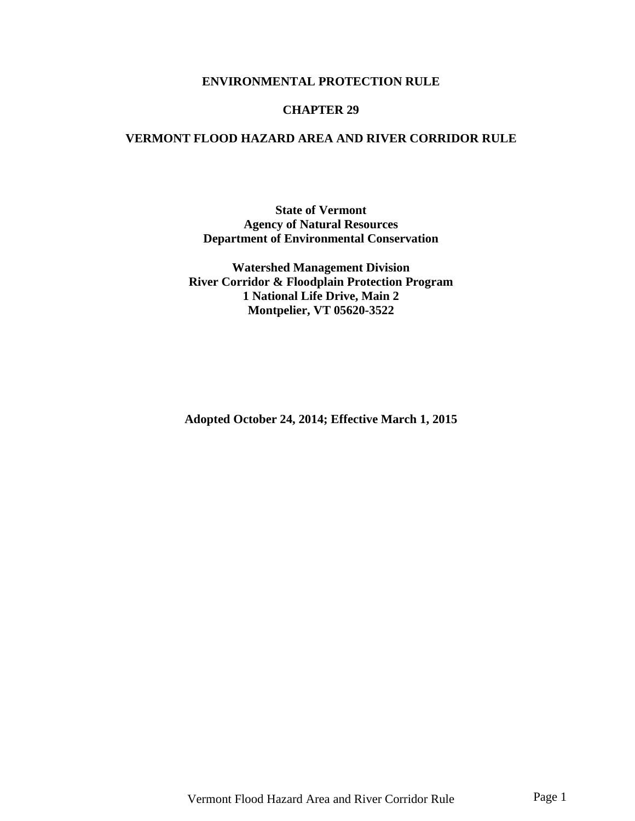#### **ENVIRONMENTAL PROTECTION RULE**

#### **CHAPTER 29**

### **VERMONT FLOOD HAZARD AREA AND RIVER CORRIDOR RULE**

#### **State of Vermont Agency of Natural Resources Department of Environmental Conservation**

**Watershed Management Division River Corridor & Floodplain Protection Program 1 National Life Drive, Main 2 Montpelier, VT 05620-3522**

**Adopted October 24, 2014; Effective March 1, 2015**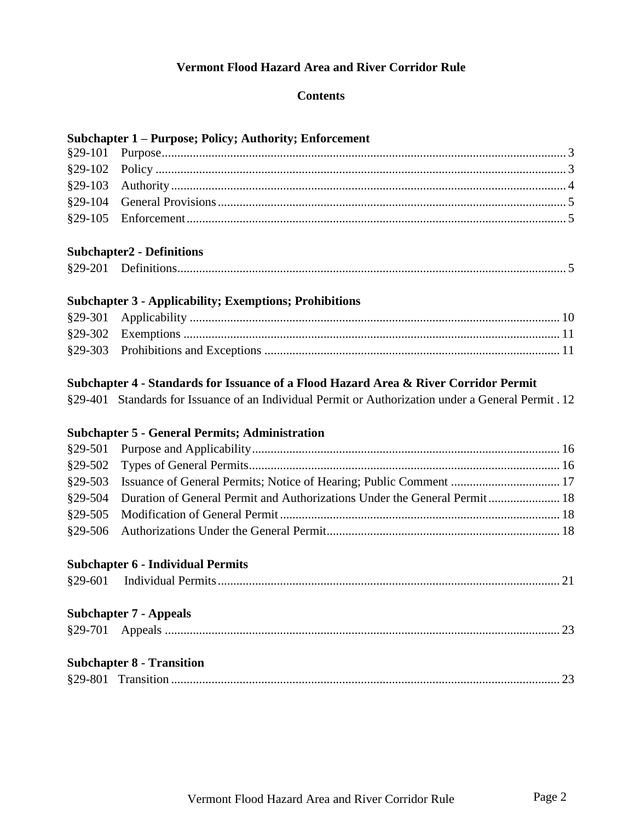# **Vermont Flood Hazard Area and River Corridor Rule**

#### **Contents**

# **Subchapter 1 – Purpose; Policy; Authority; Enforcement**

### **Subchapter2 - Definitions**

| $$29-201$ |  |
|-----------|--|
|           |  |

# **Subchapter 3 - Applicability; Exemptions; Prohibitions**

# **Subchapter 4 - Standards for Issuance of a Flood Hazard Area & River Corridor Permit**

|  |  | §29-401 Standards for Issuance of an Individual Permit or Authorization under a General Permit . 12 |
|--|--|-----------------------------------------------------------------------------------------------------|
|  |  |                                                                                                     |

# **Subchapter 5 - General Permits; Administration**

| §29-504 Duration of General Permit and Authorizations Under the General Permit 18 |  |
|-----------------------------------------------------------------------------------|--|
|                                                                                   |  |
|                                                                                   |  |
|                                                                                   |  |
|                                                                                   |  |

# **Subchapter 6 - Individual Permits**

| $$29-601$ |  |  |  |
|-----------|--|--|--|
|-----------|--|--|--|

# **Subchapter 7 - Appeals**

| <b>Subchapter 8 - Transition</b> |
|----------------------------------|
|                                  |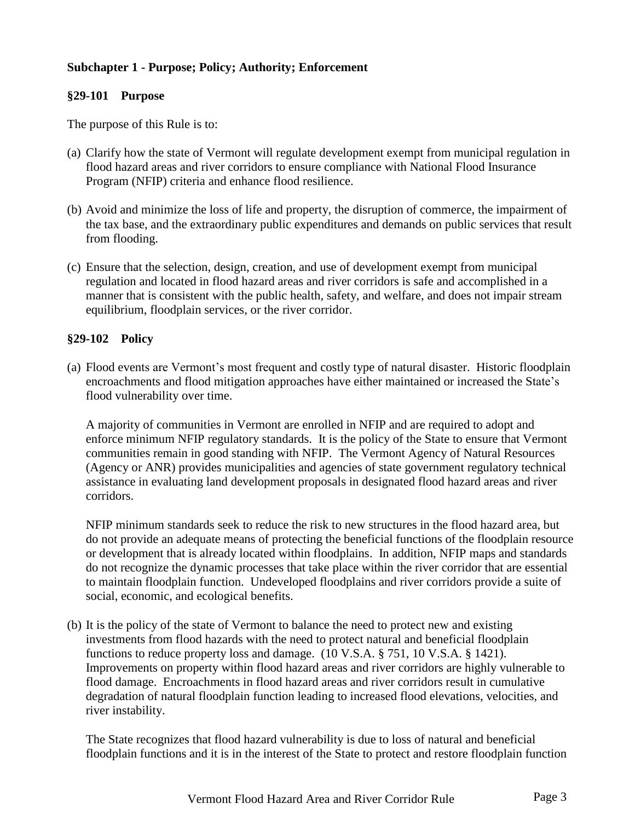### **Subchapter 1 - Purpose; Policy; Authority; Enforcement**

#### <span id="page-2-0"></span>**§29-101 Purpose**

The purpose of this Rule is to:

- (a) Clarify how the state of Vermont will regulate development exempt from municipal regulation in flood hazard areas and river corridors to ensure compliance with National Flood Insurance Program (NFIP) criteria and enhance flood resilience.
- (b) Avoid and minimize the loss of life and property, the disruption of commerce, the impairment of the tax base, and the extraordinary public expenditures and demands on public services that result from flooding.
- (c) Ensure that the selection, design, creation, and use of development exempt from municipal regulation and located in flood hazard areas and river corridors is safe and accomplished in a manner that is consistent with the public health, safety, and welfare, and does not impair stream equilibrium, floodplain services, or the river corridor.

#### <span id="page-2-1"></span>**§29-102 Policy**

(a) Flood events are Vermont's most frequent and costly type of natural disaster. Historic floodplain encroachments and flood mitigation approaches have either maintained or increased the State's flood vulnerability over time.

A majority of communities in Vermont are enrolled in NFIP and are required to adopt and enforce minimum NFIP regulatory standards. It is the policy of the State to ensure that Vermont communities remain in good standing with NFIP. The Vermont Agency of Natural Resources (Agency or ANR) provides municipalities and agencies of state government regulatory technical assistance in evaluating land development proposals in designated flood hazard areas and river corridors.

NFIP minimum standards seek to reduce the risk to new structures in the flood hazard area, but do not provide an adequate means of protecting the beneficial functions of the floodplain resource or development that is already located within floodplains. In addition, NFIP maps and standards do not recognize the dynamic processes that take place within the river corridor that are essential to maintain floodplain function. Undeveloped floodplains and river corridors provide a suite of social, economic, and ecological benefits.

(b) It is the policy of the state of Vermont to balance the need to protect new and existing investments from flood hazards with the need to protect natural and beneficial floodplain functions to reduce property loss and damage. (10 V.S.A. § 751, 10 V.S.A. § 1421). Improvements on property within flood hazard areas and river corridors are highly vulnerable to flood damage. Encroachments in flood hazard areas and river corridors result in cumulative degradation of natural floodplain function leading to increased flood elevations, velocities, and river instability.

The State recognizes that flood hazard vulnerability is due to loss of natural and beneficial floodplain functions and it is in the interest of the State to protect and restore floodplain function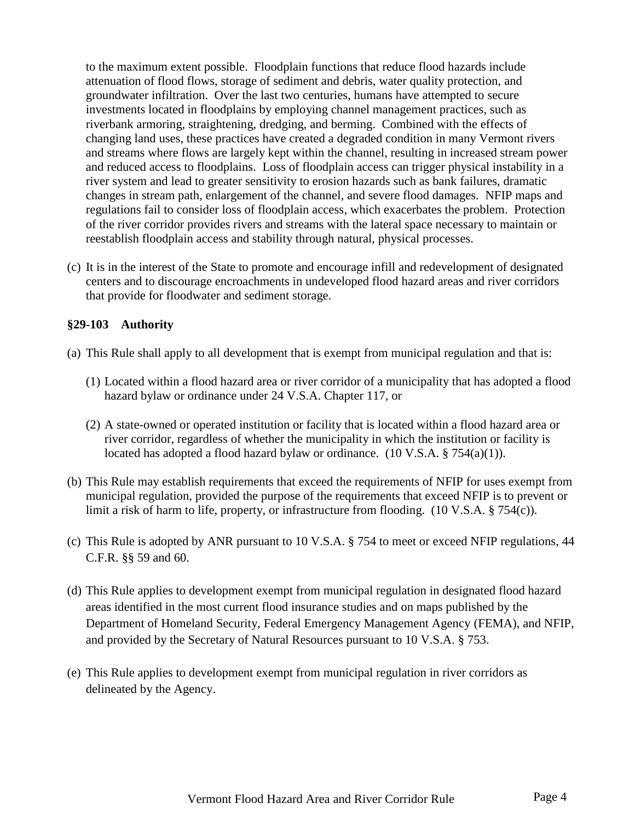to the maximum extent possible. Floodplain functions that reduce flood hazards include attenuation of flood flows, storage of sediment and debris, water quality protection, and groundwater infiltration. Over the last two centuries, humans have attempted to secure investments located in floodplains by employing channel management practices, such as riverbank armoring, straightening, dredging, and berming. Combined with the effects of changing land uses, these practices have created a degraded condition in many Vermont rivers and streams where flows are largely kept within the channel, resulting in increased stream power and reduced access to floodplains. Loss of floodplain access can trigger physical instability in a river system and lead to greater sensitivity to erosion hazards such as bank failures, dramatic changes in stream path, enlargement of the channel, and severe flood damages. NFIP maps and regulations fail to consider loss of floodplain access, which exacerbates the problem. Protection of the river corridor provides rivers and streams with the lateral space necessary to maintain or reestablish floodplain access and stability through natural, physical processes.

(c) It is in the interest of the State to promote and encourage infill and redevelopment of designated centers and to discourage encroachments in undeveloped flood hazard areas and river corridors that provide for floodwater and sediment storage.

### <span id="page-3-0"></span>**§29-103 Authority**

- (a) This Rule shall apply to all development that is exempt from municipal regulation and that is:
	- (1) Located within a flood hazard area or river corridor of a municipality that has adopted a flood hazard bylaw or ordinance under 24 V.S.A. Chapter 117, or
	- (2) A state-owned or operated institution or facility that is located within a flood hazard area or river corridor, regardless of whether the municipality in which the institution or facility is located has adopted a flood hazard bylaw or ordinance. (10 V.S.A. § 754(a)(1)).
- (b) This Rule may establish requirements that exceed the requirements of NFIP for uses exempt from municipal regulation, provided the purpose of the requirements that exceed NFIP is to prevent or limit a risk of harm to life, property, or infrastructure from flooding. (10 V.S.A. § 754(c)).
- (c) This Rule is adopted by ANR pursuant to 10 V.S.A. § 754 to meet or exceed NFIP regulations, 44 C.F.R. §§ 59 and 60.
- (d) This Rule applies to development exempt from municipal regulation in designated flood hazard areas identified in the most current flood insurance studies and on maps published by the Department of Homeland Security, Federal Emergency Management Agency (FEMA), and NFIP, and provided by the Secretary of Natural Resources pursuant to 10 V.S.A. § 753.
- (e) This Rule applies to development exempt from municipal regulation in river corridors as delineated by the Agency.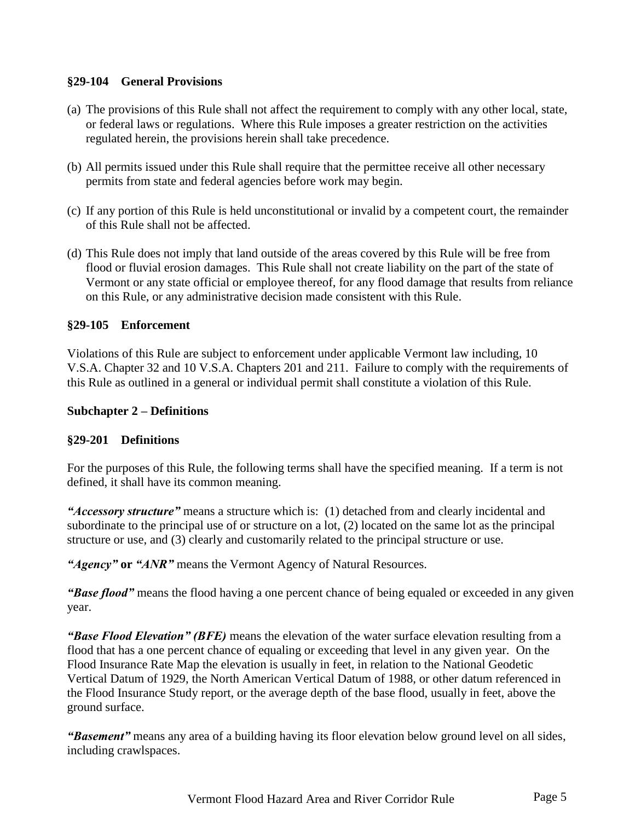#### <span id="page-4-0"></span>**§29-104 General Provisions**

- (a) The provisions of this Rule shall not affect the requirement to comply with any other local, state, or federal laws or regulations. Where this Rule imposes a greater restriction on the activities regulated herein, the provisions herein shall take precedence.
- (b) All permits issued under this Rule shall require that the permittee receive all other necessary permits from state and federal agencies before work may begin.
- (c) If any portion of this Rule is held unconstitutional or invalid by a competent court, the remainder of this Rule shall not be affected.
- (d) This Rule does not imply that land outside of the areas covered by this Rule will be free from flood or fluvial erosion damages. This Rule shall not create liability on the part of the state of Vermont or any state official or employee thereof, for any flood damage that results from reliance on this Rule, or any administrative decision made consistent with this Rule.

#### <span id="page-4-1"></span>**§29-105 Enforcement**

Violations of this Rule are subject to enforcement under applicable Vermont law including, 10 V.S.A. Chapter 32 and 10 V.S.A. Chapters 201 and 211. Failure to comply with the requirements of this Rule as outlined in a general or individual permit shall constitute a violation of this Rule.

#### **Subchapter 2 – Definitions**

#### <span id="page-4-2"></span>**§29-201 Definitions**

For the purposes of this Rule, the following terms shall have the specified meaning. If a term is not defined, it shall have its common meaning.

*"Accessory structure"* means a structure which is: (1) detached from and clearly incidental and subordinate to the principal use of or structure on a lot, (2) located on the same lot as the principal structure or use, and (3) clearly and customarily related to the principal structure or use.

*"Agency"* **or** *"ANR"* means the Vermont Agency of Natural Resources.

*"Base flood"* means the flood having a one percent chance of being equaled or exceeded in any given year.

*"Base Flood Elevation" (BFE)* means the elevation of the water surface elevation resulting from a flood that has a one percent chance of equaling or exceeding that level in any given year. On the Flood Insurance Rate Map the elevation is usually in feet, in relation to the National Geodetic Vertical Datum of 1929, the North American Vertical Datum of 1988, or other datum referenced in the Flood Insurance Study report, or the average depth of the base flood, usually in feet, above the ground surface.

*"Basement"* means any area of a building having its floor elevation below ground level on all sides, including crawlspaces.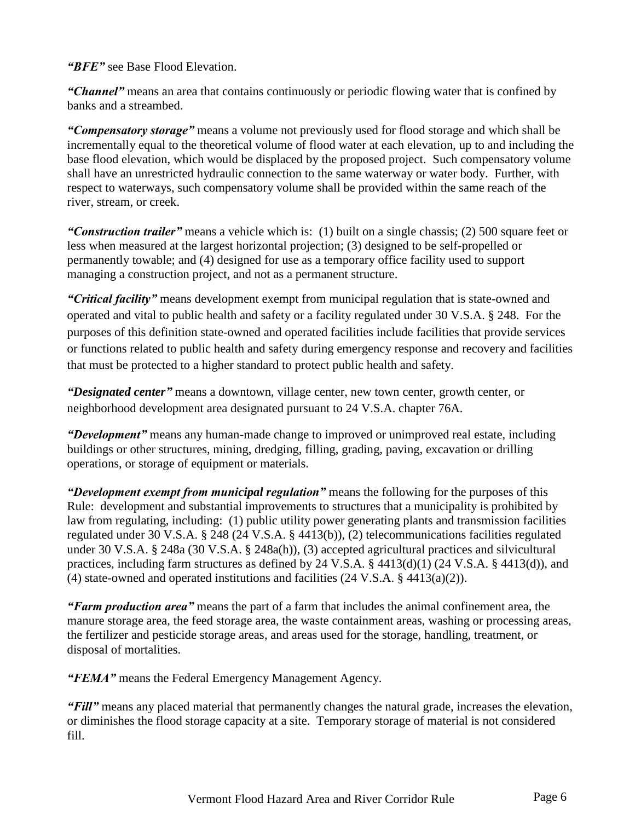*"BFE"* see Base Flood Elevation.

*"Channel"* means an area that contains continuously or periodic flowing water that is confined by banks and a streambed.

*"Compensatory storage"* means a volume not previously used for flood storage and which shall be incrementally equal to the theoretical volume of flood water at each elevation, up to and including the base flood elevation, which would be displaced by the proposed project. Such compensatory volume shall have an unrestricted hydraulic connection to the same waterway or water body. Further, with respect to waterways, such compensatory volume shall be provided within the same reach of the river, stream, or creek.

*"Construction trailer"* means a vehicle which is: (1) built on a single chassis; (2) 500 square feet or less when measured at the largest horizontal projection; (3) designed to be self-propelled or permanently towable; and (4) designed for use as a temporary office facility used to support managing a construction project, and not as a permanent structure.

*"Critical facility"* means development exempt from municipal regulation that is state-owned and operated and vital to public health and safety or a facility regulated under 30 V.S.A. § 248. For the purposes of this definition state-owned and operated facilities include facilities that provide services or functions related to public health and safety during emergency response and recovery and facilities that must be protected to a higher standard to protect public health and safety.

*"Designated center"* means a downtown, village center, new town center, growth center, or neighborhood development area designated pursuant to 24 V.S.A. chapter 76A.

*"Development"* means any human-made change to improved or unimproved real estate, including buildings or other structures, mining, dredging, filling, grading, paving, excavation or drilling operations, or storage of equipment or materials.

*"Development exempt from municipal regulation"* means the following for the purposes of this Rule: development and substantial improvements to structures that a municipality is prohibited by law from regulating, including: (1) public utility power generating plants and transmission facilities regulated under 30 V.S.A. § 248 (24 V.S.A. § 4413(b)), (2) telecommunications facilities regulated under 30 V.S.A. § 248a (30 V.S.A. § 248a(h)), (3) accepted agricultural practices and silvicultural practices, including farm structures as defined by 24 V.S.A. § 4413(d)(1) (24 V.S.A. § 4413(d)), and (4) state-owned and operated institutions and facilities (24 V.S.A. § 4413(a)(2)).

*"Farm production area"* means the part of a farm that includes the animal confinement area, the manure storage area, the feed storage area, the waste containment areas, washing or processing areas, the fertilizer and pesticide storage areas, and areas used for the storage, handling, treatment, or disposal of mortalities.

*"FEMA"* means the Federal Emergency Management Agency.

*"Fill"* means any placed material that permanently changes the natural grade, increases the elevation, or diminishes the flood storage capacity at a site. Temporary storage of material is not considered fill.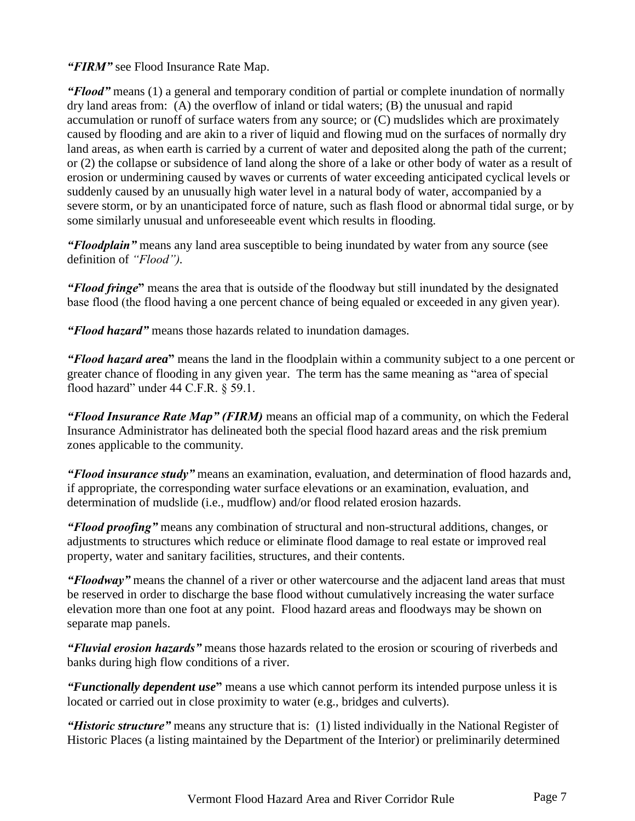*"FIRM"* see Flood Insurance Rate Map.

*"Flood"* means (1) a general and temporary condition of partial or complete inundation of normally dry land areas from: (A) the overflow of inland or tidal waters; (B) the unusual and rapid accumulation or runoff of surface waters from any source; or (C) mudslides which are proximately caused by flooding and are akin to a river of liquid and flowing mud on the surfaces of normally dry land areas, as when earth is carried by a current of water and deposited along the path of the current; or (2) the collapse or subsidence of land along the shore of a lake or other body of water as a result of erosion or undermining caused by waves or currents of water exceeding anticipated cyclical levels or suddenly caused by an unusually high water level in a natural body of water, accompanied by a severe storm, or by an unanticipated force of nature, such as flash flood or abnormal tidal surge, or by some similarly unusual and unforeseeable event which results in flooding.

*"Floodplain"* means any land area susceptible to being inundated by water from any source (see definition of *"Flood").*

*"Flood fringe***"** means the area that is outside of the floodway but still inundated by the designated base flood (the flood having a one percent chance of being equaled or exceeded in any given year).

*"Flood hazard"* means those hazards related to inundation damages.

*"Flood hazard area***"** means the land in the floodplain within a community subject to a one percent or greater chance of flooding in any given year. The term has the same meaning as "area of special flood hazard" under 44 C.F.R. § 59.1.

*"Flood Insurance Rate Map" (FIRM)* means an official map of a community, on which the Federal Insurance Administrator has delineated both the special flood hazard areas and the risk premium zones applicable to the community.

*"Flood insurance study"* means an examination, evaluation, and determination of flood hazards and, if appropriate, the corresponding water surface elevations or an examination, evaluation, and determination of mudslide (i.e., mudflow) and/or flood related erosion hazards.

*"Flood proofing"* means any combination of structural and non-structural additions, changes, or adjustments to structures which reduce or eliminate flood damage to real estate or improved real property, water and sanitary facilities, structures, and their contents.

*"Floodway"* means the channel of a river or other watercourse and the adjacent land areas that must be reserved in order to discharge the base flood without cumulatively increasing the water surface elevation more than one foot at any point. Flood hazard areas and floodways may be shown on separate map panels.

*"Fluvial erosion hazards"* means those hazards related to the erosion or scouring of riverbeds and banks during high flow conditions of a river.

*"Functionally dependent use***"** means a use which cannot perform its intended purpose unless it is located or carried out in close proximity to water (e.g., bridges and culverts).

*"Historic structure"* means any structure that is: (1) listed individually in the National Register of Historic Places (a listing maintained by the Department of the Interior) or preliminarily determined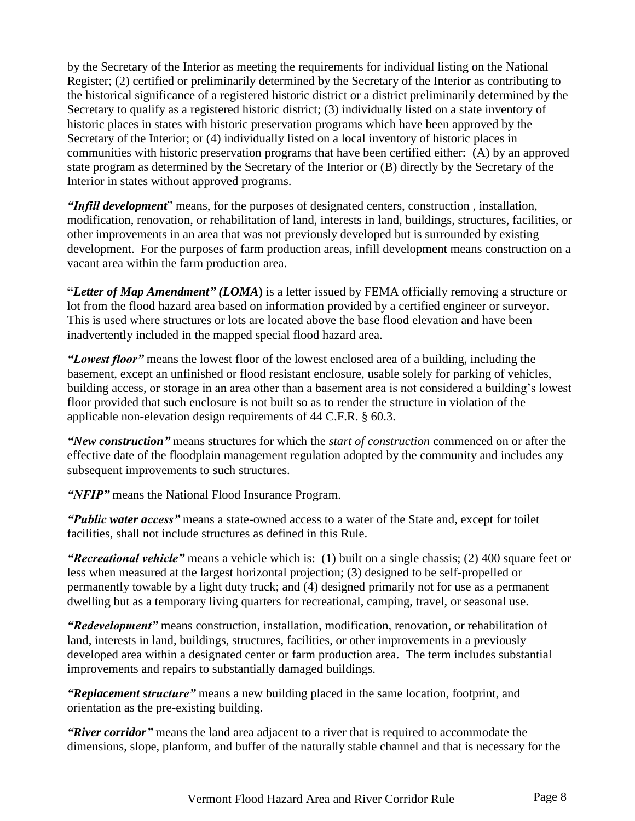by the Secretary of the Interior as meeting the requirements for individual listing on the National Register; (2) certified or preliminarily determined by the Secretary of the Interior as contributing to the historical significance of a registered historic district or a district preliminarily determined by the Secretary to qualify as a registered historic district; (3) individually listed on a state inventory of historic places in states with historic preservation programs which have been approved by the Secretary of the Interior; or (4) individually listed on a local inventory of historic places in communities with historic preservation programs that have been certified either: (A) by an approved state program as determined by the Secretary of the Interior or (B) directly by the Secretary of the Interior in states without approved programs.

*"Infill development*" means, for the purposes of designated centers, construction , installation, modification, renovation, or rehabilitation of land, interests in land, buildings, structures, facilities, or other improvements in an area that was not previously developed but is surrounded by existing development. For the purposes of farm production areas, infill development means construction on a vacant area within the farm production area.

**"***Letter of Map Amendment" (LOMA***)** is a letter issued by FEMA officially removing a structure or lot from the flood hazard area based on information provided by a certified engineer or surveyor. This is used where structures or lots are located above the base flood elevation and have been inadvertently included in the mapped special flood hazard area.

*"Lowest floor"* means the lowest floor of the lowest enclosed area of a building, including the basement, except an unfinished or flood resistant enclosure, usable solely for parking of vehicles, building access, or storage in an area other than a basement area is not considered a building's lowest floor provided that such enclosure is not built so as to render the structure in violation of the applicable non-elevation design requirements of 44 C.F.R. § 60.3.

*"New construction"* means structures for which the *start of construction* commenced on or after the effective date of the floodplain management regulation adopted by the community and includes any subsequent improvements to such structures.

*"NFIP"* means the National Flood Insurance Program.

*"Public water access"* means a state-owned access to a water of the State and, except for toilet facilities, shall not include structures as defined in this Rule.

*"Recreational vehicle"* means a vehicle which is: (1) built on a single chassis; (2) 400 square feet or less when measured at the largest horizontal projection; (3) designed to be self-propelled or permanently towable by a light duty truck; and (4) designed primarily not for use as a permanent dwelling but as a temporary living quarters for recreational, camping, travel, or seasonal use.

*"Redevelopment"* means construction, installation, modification, renovation, or rehabilitation of land, interests in land, buildings, structures, facilities, or other improvements in a previously developed area within a designated center or farm production area. The term includes substantial improvements and repairs to substantially damaged buildings.

*"Replacement structure"* means a new building placed in the same location, footprint, and orientation as the pre-existing building.

*"River corridor"* means the land area adjacent to a river that is required to accommodate the dimensions, slope, planform, and buffer of the naturally stable channel and that is necessary for the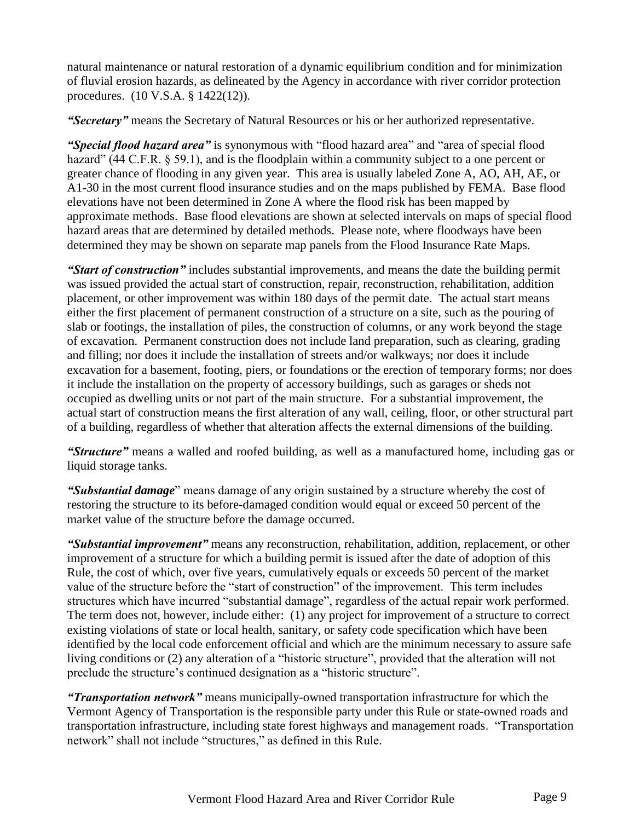natural maintenance or natural restoration of a dynamic equilibrium condition and for minimization of fluvial erosion hazards, as delineated by the Agency in accordance with river corridor protection procedures. (10 V.S.A. § 1422(12)).

*"Secretary"* means the Secretary of Natural Resources or his or her authorized representative.

*"Special flood hazard area"* is synonymous with "flood hazard area" and "area of special flood hazard" (44 C.F.R. § 59.1), and is the floodplain within a community subject to a one percent or greater chance of flooding in any given year. This area is usually labeled Zone A, AO, AH, AE, or A1-30 in the most current flood insurance studies and on the maps published by FEMA. Base flood elevations have not been determined in Zone A where the flood risk has been mapped by approximate methods. Base flood elevations are shown at selected intervals on maps of special flood hazard areas that are determined by detailed methods. Please note, where floodways have been determined they may be shown on separate map panels from the Flood Insurance Rate Maps.

*"Start of construction"* includes substantial improvements, and means the date the building permit was issued provided the actual start of construction, repair, reconstruction, rehabilitation, addition placement, or other improvement was within 180 days of the permit date. The actual start means either the first placement of permanent construction of a structure on a site, such as the pouring of slab or footings, the installation of piles, the construction of columns, or any work beyond the stage of excavation. Permanent construction does not include land preparation, such as clearing, grading and filling; nor does it include the installation of streets and/or walkways; nor does it include excavation for a basement, footing, piers, or foundations or the erection of temporary forms; nor does it include the installation on the property of accessory buildings, such as garages or sheds not occupied as dwelling units or not part of the main structure. For a substantial improvement, the actual start of construction means the first alteration of any wall, ceiling, floor, or other structural part of a building, regardless of whether that alteration affects the external dimensions of the building.

*"Structure"* means a walled and roofed building, as well as a manufactured home, including gas or liquid storage tanks.

*"Substantial damage*" means damage of any origin sustained by a structure whereby the cost of restoring the structure to its before-damaged condition would equal or exceed 50 percent of the market value of the structure before the damage occurred.

*"Substantial improvement"* means any reconstruction, rehabilitation, addition, replacement, or other improvement of a structure for which a building permit is issued after the date of adoption of this Rule, the cost of which, over five years, cumulatively equals or exceeds 50 percent of the market value of the structure before the "start of construction" of the improvement. This term includes structures which have incurred "substantial damage", regardless of the actual repair work performed. The term does not, however, include either: (1) any project for improvement of a structure to correct existing violations of state or local health, sanitary, or safety code specification which have been identified by the local code enforcement official and which are the minimum necessary to assure safe living conditions or (2) any alteration of a "historic structure", provided that the alteration will not preclude the structure's continued designation as a "historic structure".

*"Transportation network"* means municipally-owned transportation infrastructure for which the Vermont Agency of Transportation is the responsible party under this Rule or state-owned roads and transportation infrastructure, including state forest highways and management roads. "Transportation network" shall not include "structures," as defined in this Rule.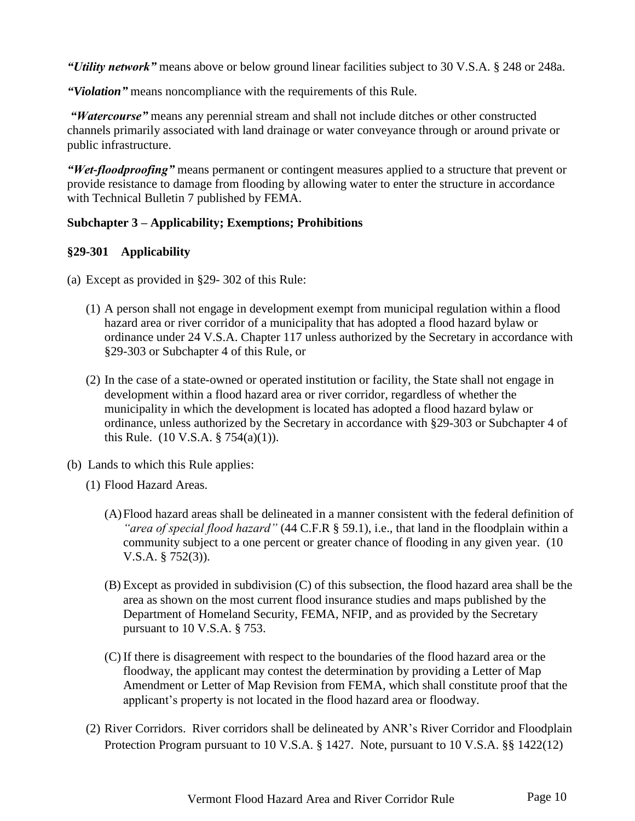*"Utility network"* means above or below ground linear facilities subject to 30 V.S.A. § 248 or 248a.

*"Violation"* means noncompliance with the requirements of this Rule.

*"Watercourse"* means any perennial stream and shall not include ditches or other constructed channels primarily associated with land drainage or water conveyance through or around private or public infrastructure.

*"Wet-floodproofing"* means permanent or contingent measures applied to a structure that prevent or provide resistance to damage from flooding by allowing water to enter the structure in accordance with Technical Bulletin 7 published by FEMA.

### **Subchapter 3 – Applicability; Exemptions; Prohibitions**

### <span id="page-9-0"></span>**§29-301 Applicability**

- (a) Except as provided in §29- 302 of this Rule:
	- (1) A person shall not engage in development exempt from municipal regulation within a flood hazard area or river corridor of a municipality that has adopted a flood hazard bylaw or ordinance under 24 V.S.A. Chapter 117 unless authorized by the Secretary in accordance with §29-303 or Subchapter 4 of this Rule, or
	- (2) In the case of a state-owned or operated institution or facility, the State shall not engage in development within a flood hazard area or river corridor, regardless of whether the municipality in which the development is located has adopted a flood hazard bylaw or ordinance, unless authorized by the Secretary in accordance with §29-303 or Subchapter 4 of this Rule. (10 V.S.A. § 754(a)(1)).
- (b) Lands to which this Rule applies:
	- (1) Flood Hazard Areas.
		- (A)Flood hazard areas shall be delineated in a manner consistent with the federal definition of *"area of special flood hazard"* (44 C.F.R § 59.1), i.e., that land in the floodplain within a community subject to a one percent or greater chance of flooding in any given year. (10 V.S.A. § 752(3)).
		- (B) Except as provided in subdivision (C) of this subsection, the flood hazard area shall be the area as shown on the most current flood insurance studies and maps published by the Department of Homeland Security, FEMA, NFIP, and as provided by the Secretary pursuant to 10 V.S.A. § 753.
		- (C) If there is disagreement with respect to the boundaries of the flood hazard area or the floodway, the applicant may contest the determination by providing a Letter of Map Amendment or Letter of Map Revision from FEMA, which shall constitute proof that the applicant's property is not located in the flood hazard area or floodway.
	- (2) River Corridors. River corridors shall be delineated by ANR's River Corridor and Floodplain Protection Program pursuant to 10 V.S.A. § 1427. Note, pursuant to 10 V.S.A. §§ 1422(12)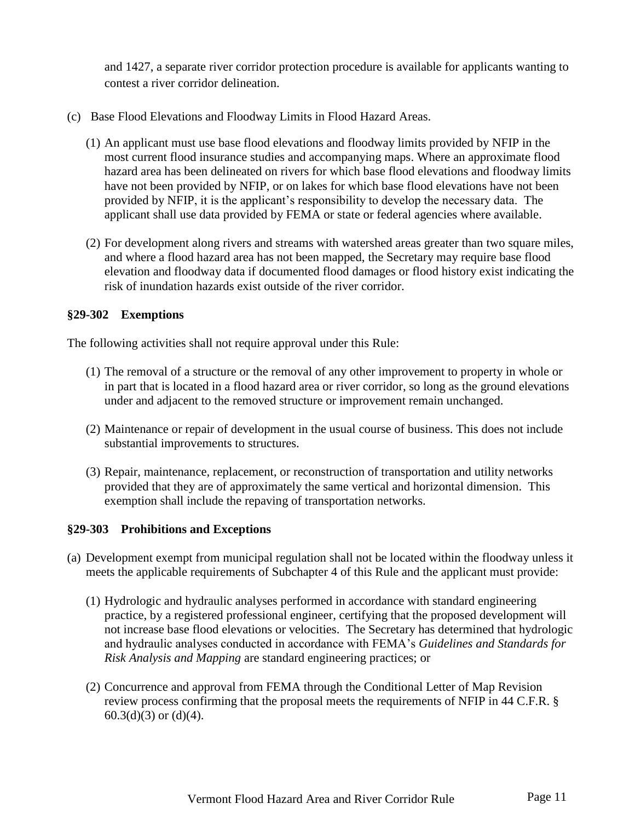and 1427, a separate river corridor protection procedure is available for applicants wanting to contest a river corridor delineation.

- (c) Base Flood Elevations and Floodway Limits in Flood Hazard Areas.
	- (1) An applicant must use base flood elevations and floodway limits provided by NFIP in the most current flood insurance studies and accompanying maps. Where an approximate flood hazard area has been delineated on rivers for which base flood elevations and floodway limits have not been provided by NFIP, or on lakes for which base flood elevations have not been provided by NFIP, it is the applicant's responsibility to develop the necessary data. The applicant shall use data provided by FEMA or state or federal agencies where available.
	- (2) For development along rivers and streams with watershed areas greater than two square miles, and where a flood hazard area has not been mapped, the Secretary may require base flood elevation and floodway data if documented flood damages or flood history exist indicating the risk of inundation hazards exist outside of the river corridor.

#### <span id="page-10-0"></span>**§29-302 Exemptions**

The following activities shall not require approval under this Rule:

- (1) The removal of a structure or the removal of any other improvement to property in whole or in part that is located in a flood hazard area or river corridor, so long as the ground elevations under and adjacent to the removed structure or improvement remain unchanged.
- (2) Maintenance or repair of development in the usual course of business. This does not include substantial improvements to structures.
- (3) Repair, maintenance, replacement, or reconstruction of transportation and utility networks provided that they are of approximately the same vertical and horizontal dimension. This exemption shall include the repaving of transportation networks.

#### <span id="page-10-1"></span>**§29-303 Prohibitions and Exceptions**

- (a) Development exempt from municipal regulation shall not be located within the floodway unless it meets the applicable requirements of Subchapter 4 of this Rule and the applicant must provide:
	- (1) Hydrologic and hydraulic analyses performed in accordance with standard engineering practice, by a registered professional engineer, certifying that the proposed development will not increase base flood elevations or velocities. The Secretary has determined that hydrologic and hydraulic analyses conducted in accordance with FEMA's *Guidelines and Standards for Risk Analysis and Mapping* are standard engineering practices; or
	- (2) Concurrence and approval from FEMA through the Conditional Letter of Map Revision review process confirming that the proposal meets the requirements of NFIP in 44 C.F.R. §  $60.3(d)(3)$  or  $(d)(4)$ .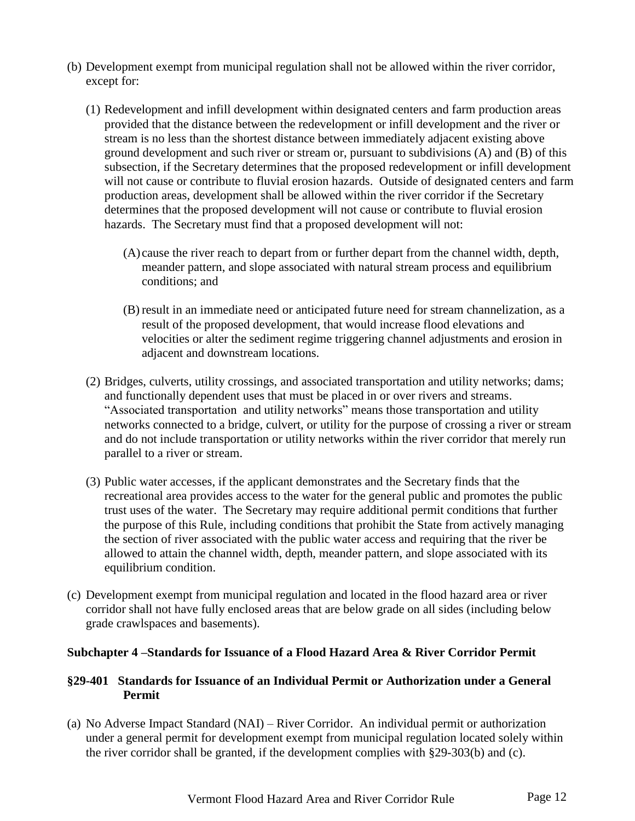- (b) Development exempt from municipal regulation shall not be allowed within the river corridor, except for:
	- (1) Redevelopment and infill development within designated centers and farm production areas provided that the distance between the redevelopment or infill development and the river or stream is no less than the shortest distance between immediately adjacent existing above ground development and such river or stream or, pursuant to subdivisions (A) and (B) of this subsection, if the Secretary determines that the proposed redevelopment or infill development will not cause or contribute to fluvial erosion hazards. Outside of designated centers and farm production areas, development shall be allowed within the river corridor if the Secretary determines that the proposed development will not cause or contribute to fluvial erosion hazards. The Secretary must find that a proposed development will not:
		- (A) cause the river reach to depart from or further depart from the channel width, depth, meander pattern, and slope associated with natural stream process and equilibrium conditions; and
		- (B) result in an immediate need or anticipated future need for stream channelization, as a result of the proposed development, that would increase flood elevations and velocities or alter the sediment regime triggering channel adjustments and erosion in adjacent and downstream locations.
	- (2) Bridges, culverts, utility crossings, and associated transportation and utility networks; dams; and functionally dependent uses that must be placed in or over rivers and streams. "Associated transportation and utility networks" means those transportation and utility networks connected to a bridge, culvert, or utility for the purpose of crossing a river or stream and do not include transportation or utility networks within the river corridor that merely run parallel to a river or stream.
	- (3) Public water accesses, if the applicant demonstrates and the Secretary finds that the recreational area provides access to the water for the general public and promotes the public trust uses of the water. The Secretary may require additional permit conditions that further the purpose of this Rule, including conditions that prohibit the State from actively managing the section of river associated with the public water access and requiring that the river be allowed to attain the channel width, depth, meander pattern, and slope associated with its equilibrium condition.
- (c) Development exempt from municipal regulation and located in the flood hazard area or river corridor shall not have fully enclosed areas that are below grade on all sides (including below grade crawlspaces and basements).

### **Subchapter 4 –Standards for Issuance of a Flood Hazard Area & River Corridor Permit**

### <span id="page-11-0"></span>**§29-401 Standards for Issuance of an Individual Permit or Authorization under a General Permit**

(a) No Adverse Impact Standard (NAI) – River Corridor. An individual permit or authorization under a general permit for development exempt from municipal regulation located solely within the river corridor shall be granted, if the development complies with §29-303(b) and (c).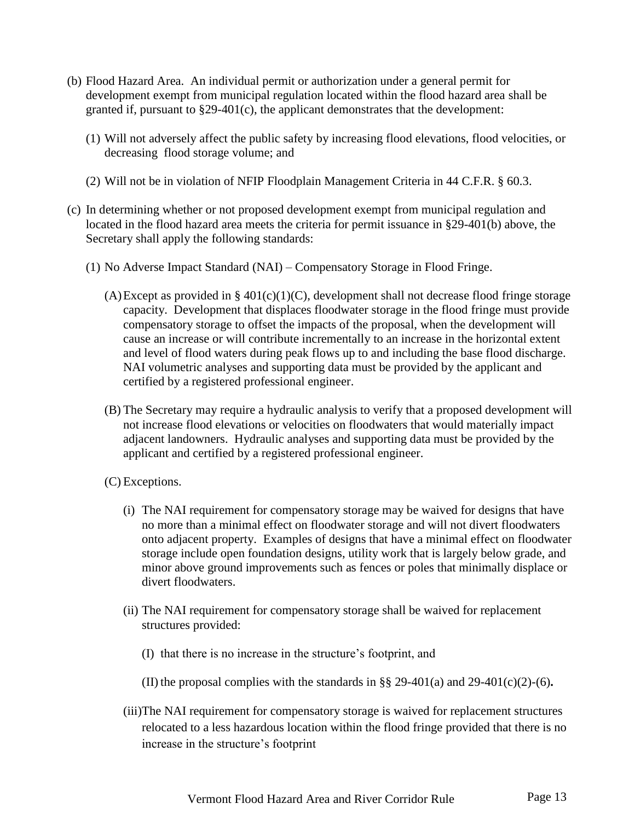- (b) Flood Hazard Area. An individual permit or authorization under a general permit for development exempt from municipal regulation located within the flood hazard area shall be granted if, pursuant to §29-401(c), the applicant demonstrates that the development:
	- (1) Will not adversely affect the public safety by increasing flood elevations, flood velocities, or decreasing flood storage volume; and
	- (2) Will not be in violation of NFIP Floodplain Management Criteria in 44 C.F.R. § 60.3.
- (c) In determining whether or not proposed development exempt from municipal regulation and located in the flood hazard area meets the criteria for permit issuance in §29-401(b) above, the Secretary shall apply the following standards:
	- (1) No Adverse Impact Standard (NAI) Compensatory Storage in Flood Fringe.
		- (A)Except as provided in  $\S$  401(c)(1)(C), development shall not decrease flood fringe storage capacity. Development that displaces floodwater storage in the flood fringe must provide compensatory storage to offset the impacts of the proposal, when the development will cause an increase or will contribute incrementally to an increase in the horizontal extent and level of flood waters during peak flows up to and including the base flood discharge. NAI volumetric analyses and supporting data must be provided by the applicant and certified by a registered professional engineer.
		- (B) The Secretary may require a hydraulic analysis to verify that a proposed development will not increase flood elevations or velocities on floodwaters that would materially impact adjacent landowners. Hydraulic analyses and supporting data must be provided by the applicant and certified by a registered professional engineer.
		- (C) Exceptions.
			- (i) The NAI requirement for compensatory storage may be waived for designs that have no more than a minimal effect on floodwater storage and will not divert floodwaters onto adjacent property. Examples of designs that have a minimal effect on floodwater storage include open foundation designs, utility work that is largely below grade, and minor above ground improvements such as fences or poles that minimally displace or divert floodwaters.
			- (ii) The NAI requirement for compensatory storage shall be waived for replacement structures provided:
				- (I) that there is no increase in the structure's footprint, and
				- (II) the proposal complies with the standards in §§ 29-401(a) and 29-401(c)(2)-(6)**.**
			- (iii)The NAI requirement for compensatory storage is waived for replacement structures relocated to a less hazardous location within the flood fringe provided that there is no increase in the structure's footprint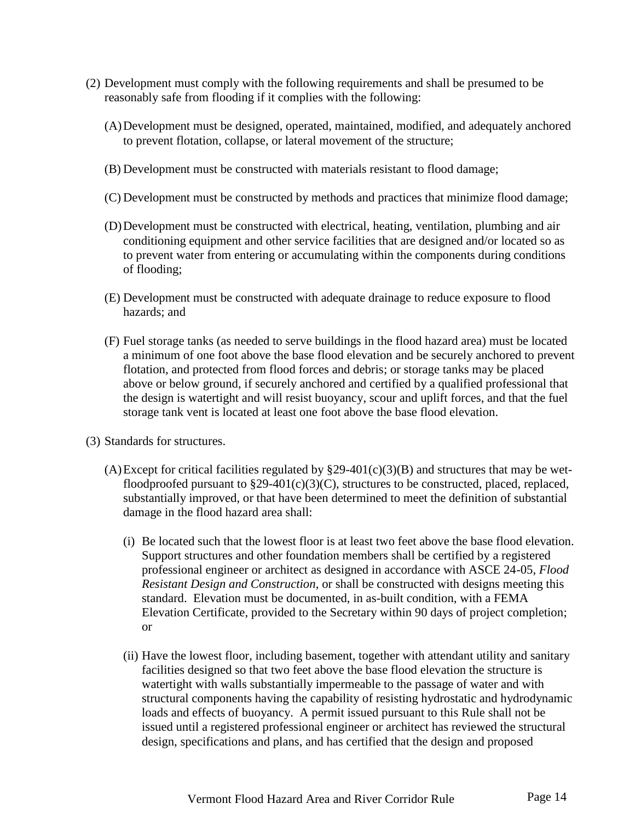- (2) Development must comply with the following requirements and shall be presumed to be reasonably safe from flooding if it complies with the following:
	- (A)Development must be designed, operated, maintained, modified, and adequately anchored to prevent flotation, collapse, or lateral movement of the structure;
	- (B) Development must be constructed with materials resistant to flood damage;
	- (C) Development must be constructed by methods and practices that minimize flood damage;
	- (D)Development must be constructed with electrical, heating, ventilation, plumbing and air conditioning equipment and other service facilities that are designed and/or located so as to prevent water from entering or accumulating within the components during conditions of flooding;
	- (E) Development must be constructed with adequate drainage to reduce exposure to flood hazards; and
	- (F) Fuel storage tanks (as needed to serve buildings in the flood hazard area) must be located a minimum of one foot above the base flood elevation and be securely anchored to prevent flotation, and protected from flood forces and debris; or storage tanks may be placed above or below ground, if securely anchored and certified by a qualified professional that the design is watertight and will resist buoyancy, scour and uplift forces, and that the fuel storage tank vent is located at least one foot above the base flood elevation.
- (3) Standards for structures.
	- (A)Except for critical facilities regulated by  $\S29-401(c)(3)(B)$  and structures that may be wetfloodproofed pursuant to  $\S29-401(c)(3)(C)$ , structures to be constructed, placed, replaced, substantially improved, or that have been determined to meet the definition of substantial damage in the flood hazard area shall:
		- (i) Be located such that the lowest floor is at least two feet above the base flood elevation. Support structures and other foundation members shall be certified by a registered professional engineer or architect as designed in accordance with ASCE 24-05, *Flood Resistant Design and Construction*, or shall be constructed with designs meeting this standard. Elevation must be documented, in as-built condition, with a FEMA Elevation Certificate, provided to the Secretary within 90 days of project completion; or
		- (ii) Have the lowest floor, including basement, together with attendant utility and sanitary facilities designed so that two feet above the base flood elevation the structure is watertight with walls substantially impermeable to the passage of water and with structural components having the capability of resisting hydrostatic and hydrodynamic loads and effects of buoyancy. A permit issued pursuant to this Rule shall not be issued until a registered professional engineer or architect has reviewed the structural design, specifications and plans, and has certified that the design and proposed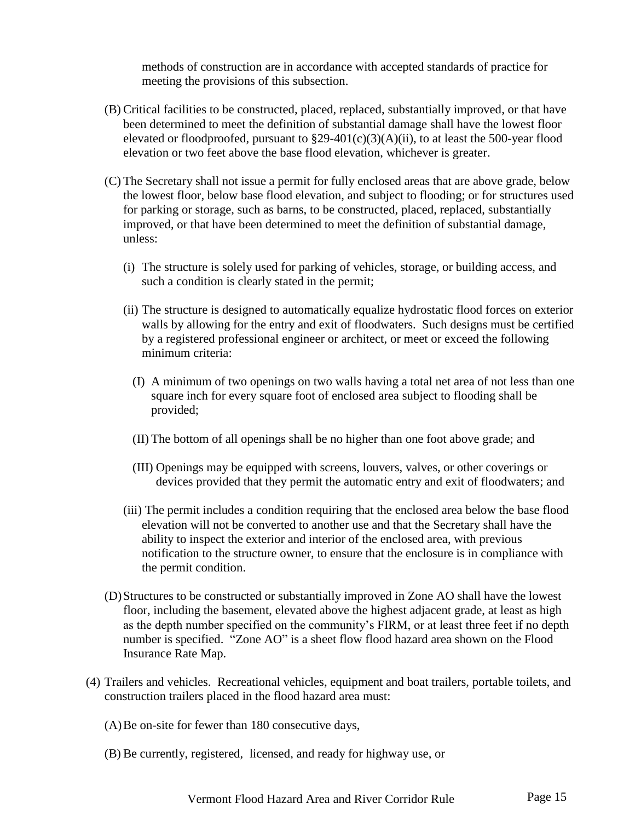methods of construction are in accordance with accepted standards of practice for meeting the provisions of this subsection.

- (B) Critical facilities to be constructed, placed, replaced, substantially improved, or that have been determined to meet the definition of substantial damage shall have the lowest floor elevated or floodproofed, pursuant to §29-401(c)(3)(A)(ii), to at least the 500-year flood elevation or two feet above the base flood elevation, whichever is greater.
- (C) The Secretary shall not issue a permit for fully enclosed areas that are above grade, below the lowest floor, below base flood elevation, and subject to flooding; or for structures used for parking or storage, such as barns, to be constructed, placed, replaced, substantially improved, or that have been determined to meet the definition of substantial damage, unless:
	- (i) The structure is solely used for parking of vehicles, storage, or building access, and such a condition is clearly stated in the permit;
	- (ii) The structure is designed to automatically equalize hydrostatic flood forces on exterior walls by allowing for the entry and exit of floodwaters. Such designs must be certified by a registered professional engineer or architect, or meet or exceed the following minimum criteria:
		- (I) A minimum of two openings on two walls having a total net area of not less than one square inch for every square foot of enclosed area subject to flooding shall be provided;
		- (II) The bottom of all openings shall be no higher than one foot above grade; and
		- (III) Openings may be equipped with screens, louvers, valves, or other coverings or devices provided that they permit the automatic entry and exit of floodwaters; and
	- (iii) The permit includes a condition requiring that the enclosed area below the base flood elevation will not be converted to another use and that the Secretary shall have the ability to inspect the exterior and interior of the enclosed area, with previous notification to the structure owner, to ensure that the enclosure is in compliance with the permit condition.
- (D)Structures to be constructed or substantially improved in Zone AO shall have the lowest floor, including the basement, elevated above the highest adjacent grade, at least as high as the depth number specified on the community's FIRM, or at least three feet if no depth number is specified. "Zone AO" is a sheet flow flood hazard area shown on the Flood Insurance Rate Map.
- (4) Trailers and vehicles. Recreational vehicles, equipment and boat trailers, portable toilets, and construction trailers placed in the flood hazard area must:
	- (A)Be on-site for fewer than 180 consecutive days,
	- (B) Be currently, registered, licensed, and ready for highway use, or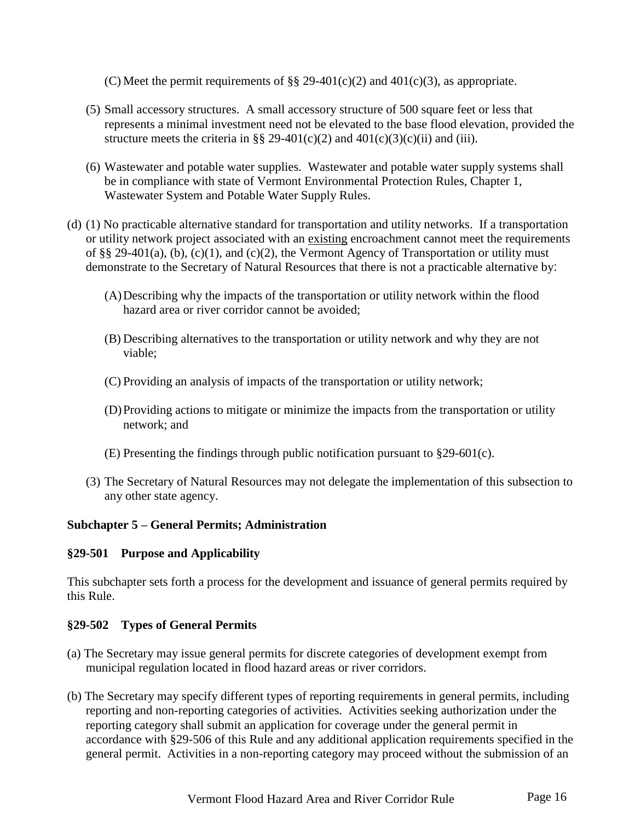(C) Meet the permit requirements of §§ 29-401(c)(2) and 401(c)(3), as appropriate.

- (5) Small accessory structures. A small accessory structure of 500 square feet or less that represents a minimal investment need not be elevated to the base flood elevation, provided the structure meets the criteria in §§ 29-401(c)(2) and  $401(c)(3)(c)(ii)$  and (iii).
- (6) Wastewater and potable water supplies. Wastewater and potable water supply systems shall be in compliance with state of Vermont Environmental Protection Rules, Chapter 1, Wastewater System and Potable Water Supply Rules.
- (d) (1) No practicable alternative standard for transportation and utility networks. If a transportation or utility network project associated with an existing encroachment cannot meet the requirements of §§ 29-401(a), (b), (c)(1), and (c)(2), the Vermont Agency of Transportation or utility must demonstrate to the Secretary of Natural Resources that there is not a practicable alternative by:
	- (A)Describing why the impacts of the transportation or utility network within the flood hazard area or river corridor cannot be avoided;
	- (B) Describing alternatives to the transportation or utility network and why they are not viable;
	- (C) Providing an analysis of impacts of the transportation or utility network;
	- (D)Providing actions to mitigate or minimize the impacts from the transportation or utility network; and
	- (E) Presenting the findings through public notification pursuant to §29-601(c).
	- (3) The Secretary of Natural Resources may not delegate the implementation of this subsection to any other state agency.

### **Subchapter 5 – General Permits; Administration**

### <span id="page-15-0"></span>**§29-501 Purpose and Applicability**

This subchapter sets forth a process for the development and issuance of general permits required by this Rule.

### <span id="page-15-1"></span>**§29-502 Types of General Permits**

- (a) The Secretary may issue general permits for discrete categories of development exempt from municipal regulation located in flood hazard areas or river corridors.
- (b) The Secretary may specify different types of reporting requirements in general permits, including reporting and non-reporting categories of activities. Activities seeking authorization under the reporting category shall submit an application for coverage under the general permit in accordance with §29-506 of this Rule and any additional application requirements specified in the general permit. Activities in a non-reporting category may proceed without the submission of an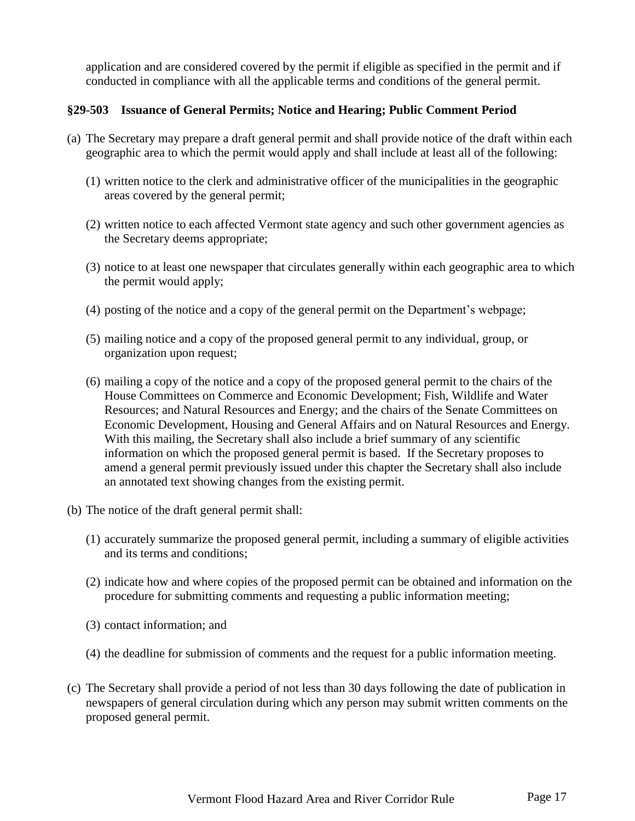application and are considered covered by the permit if eligible as specified in the permit and if conducted in compliance with all the applicable terms and conditions of the general permit.

### <span id="page-16-0"></span>**§29-503 Issuance of General Permits; Notice and Hearing; Public Comment Period**

- (a) The Secretary may prepare a draft general permit and shall provide notice of the draft within each geographic area to which the permit would apply and shall include at least all of the following:
	- (1) written notice to the clerk and administrative officer of the municipalities in the geographic areas covered by the general permit;
	- (2) written notice to each affected Vermont state agency and such other government agencies as the Secretary deems appropriate;
	- (3) notice to at least one newspaper that circulates generally within each geographic area to which the permit would apply;
	- (4) posting of the notice and a copy of the general permit on the Department's webpage;
	- (5) mailing notice and a copy of the proposed general permit to any individual, group, or organization upon request;
	- (6) mailing a copy of the notice and a copy of the proposed general permit to the chairs of the House Committees on Commerce and Economic Development; Fish, Wildlife and Water Resources; and Natural Resources and Energy; and the chairs of the Senate Committees on Economic Development, Housing and General Affairs and on Natural Resources and Energy. With this mailing, the Secretary shall also include a brief summary of any scientific information on which the proposed general permit is based. If the Secretary proposes to amend a general permit previously issued under this chapter the Secretary shall also include an annotated text showing changes from the existing permit.
- (b) The notice of the draft general permit shall:
	- (1) accurately summarize the proposed general permit, including a summary of eligible activities and its terms and conditions;
	- (2) indicate how and where copies of the proposed permit can be obtained and information on the procedure for submitting comments and requesting a public information meeting;
	- (3) contact information; and
	- (4) the deadline for submission of comments and the request for a public information meeting.
- (c) The Secretary shall provide a period of not less than 30 days following the date of publication in newspapers of general circulation during which any person may submit written comments on the proposed general permit.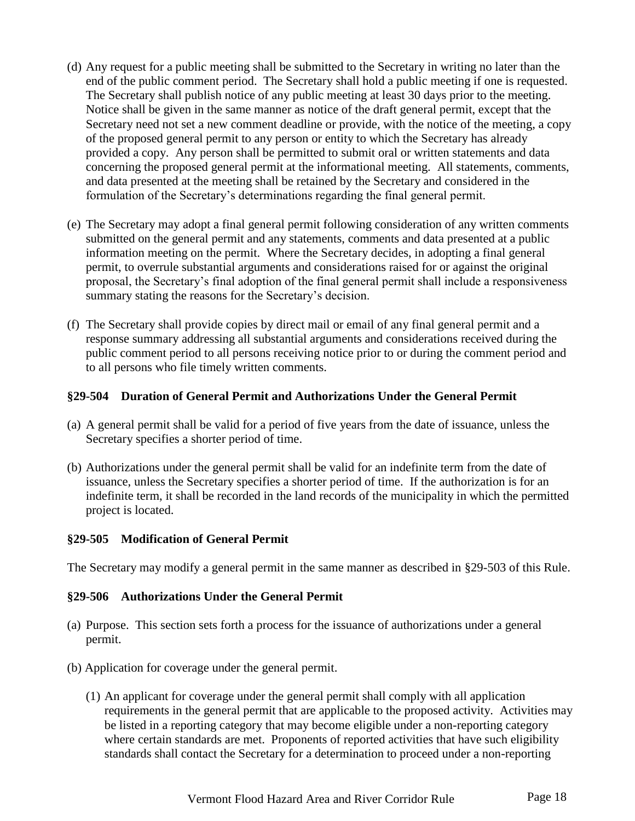- (d) Any request for a public meeting shall be submitted to the Secretary in writing no later than the end of the public comment period. The Secretary shall hold a public meeting if one is requested. The Secretary shall publish notice of any public meeting at least 30 days prior to the meeting. Notice shall be given in the same manner as notice of the draft general permit, except that the Secretary need not set a new comment deadline or provide, with the notice of the meeting, a copy of the proposed general permit to any person or entity to which the Secretary has already provided a copy. Any person shall be permitted to submit oral or written statements and data concerning the proposed general permit at the informational meeting. All statements, comments, and data presented at the meeting shall be retained by the Secretary and considered in the formulation of the Secretary's determinations regarding the final general permit.
- (e) The Secretary may adopt a final general permit following consideration of any written comments submitted on the general permit and any statements, comments and data presented at a public information meeting on the permit. Where the Secretary decides, in adopting a final general permit, to overrule substantial arguments and considerations raised for or against the original proposal, the Secretary's final adoption of the final general permit shall include a responsiveness summary stating the reasons for the Secretary's decision.
- (f) The Secretary shall provide copies by direct mail or email of any final general permit and a response summary addressing all substantial arguments and considerations received during the public comment period to all persons receiving notice prior to or during the comment period and to all persons who file timely written comments.

# <span id="page-17-0"></span>**§29-504 Duration of General Permit and Authorizations Under the General Permit**

- (a) A general permit shall be valid for a period of five years from the date of issuance, unless the Secretary specifies a shorter period of time.
- (b) Authorizations under the general permit shall be valid for an indefinite term from the date of issuance, unless the Secretary specifies a shorter period of time. If the authorization is for an indefinite term, it shall be recorded in the land records of the municipality in which the permitted project is located.

### <span id="page-17-1"></span>**§29-505 Modification of General Permit**

The Secretary may modify a general permit in the same manner as described in §29-503 of this Rule.

### <span id="page-17-2"></span>**§29-506 Authorizations Under the General Permit**

- (a) Purpose. This section sets forth a process for the issuance of authorizations under a general permit.
- (b) Application for coverage under the general permit.
	- (1) An applicant for coverage under the general permit shall comply with all application requirements in the general permit that are applicable to the proposed activity. Activities may be listed in a reporting category that may become eligible under a non-reporting category where certain standards are met. Proponents of reported activities that have such eligibility standards shall contact the Secretary for a determination to proceed under a non-reporting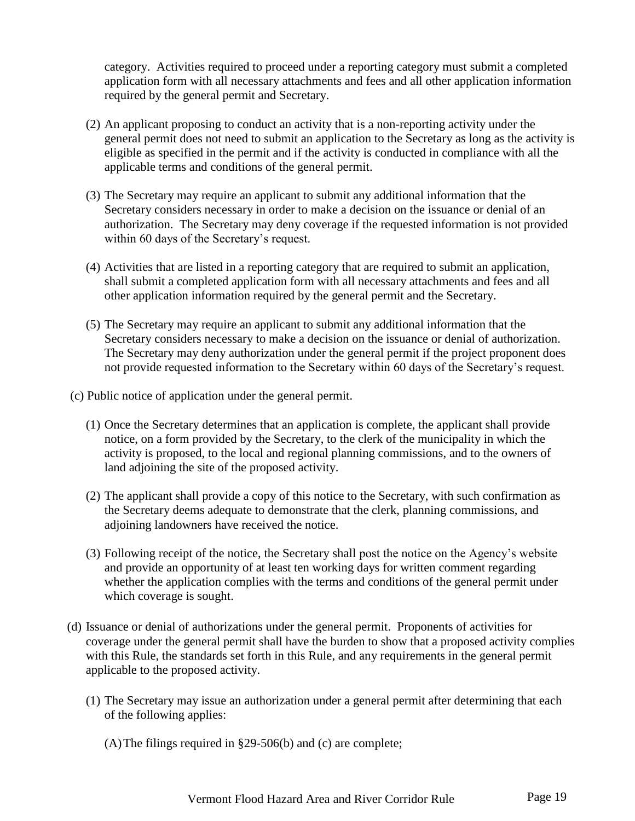category. Activities required to proceed under a reporting category must submit a completed application form with all necessary attachments and fees and all other application information required by the general permit and Secretary.

- (2) An applicant proposing to conduct an activity that is a non-reporting activity under the general permit does not need to submit an application to the Secretary as long as the activity is eligible as specified in the permit and if the activity is conducted in compliance with all the applicable terms and conditions of the general permit.
- (3) The Secretary may require an applicant to submit any additional information that the Secretary considers necessary in order to make a decision on the issuance or denial of an authorization. The Secretary may deny coverage if the requested information is not provided within 60 days of the Secretary's request.
- (4) Activities that are listed in a reporting category that are required to submit an application, shall submit a completed application form with all necessary attachments and fees and all other application information required by the general permit and the Secretary.
- (5) The Secretary may require an applicant to submit any additional information that the Secretary considers necessary to make a decision on the issuance or denial of authorization. The Secretary may deny authorization under the general permit if the project proponent does not provide requested information to the Secretary within 60 days of the Secretary's request.
- (c) Public notice of application under the general permit.
	- (1) Once the Secretary determines that an application is complete, the applicant shall provide notice, on a form provided by the Secretary, to the clerk of the municipality in which the activity is proposed, to the local and regional planning commissions, and to the owners of land adjoining the site of the proposed activity.
	- (2) The applicant shall provide a copy of this notice to the Secretary, with such confirmation as the Secretary deems adequate to demonstrate that the clerk, planning commissions, and adjoining landowners have received the notice.
	- (3) Following receipt of the notice, the Secretary shall post the notice on the Agency's website and provide an opportunity of at least ten working days for written comment regarding whether the application complies with the terms and conditions of the general permit under which coverage is sought.
- (d) Issuance or denial of authorizations under the general permit. Proponents of activities for coverage under the general permit shall have the burden to show that a proposed activity complies with this Rule, the standards set forth in this Rule, and any requirements in the general permit applicable to the proposed activity.
	- (1) The Secretary may issue an authorization under a general permit after determining that each of the following applies:

(A)The filings required in §29-506(b) and (c) are complete;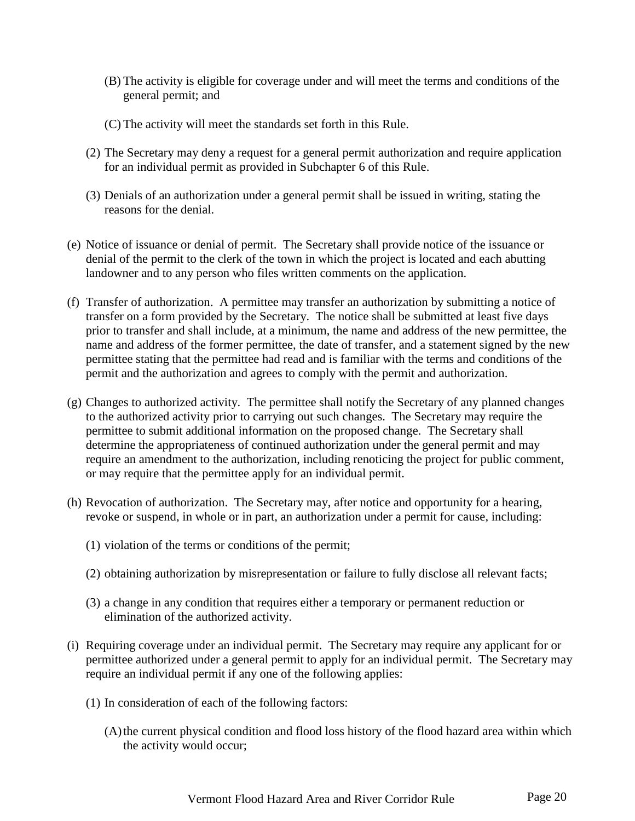- (B) The activity is eligible for coverage under and will meet the terms and conditions of the general permit; and
- (C) The activity will meet the standards set forth in this Rule.
- (2) The Secretary may deny a request for a general permit authorization and require application for an individual permit as provided in Subchapter 6 of this Rule.
- (3) Denials of an authorization under a general permit shall be issued in writing, stating the reasons for the denial.
- (e) Notice of issuance or denial of permit. The Secretary shall provide notice of the issuance or denial of the permit to the clerk of the town in which the project is located and each abutting landowner and to any person who files written comments on the application.
- (f) Transfer of authorization. A permittee may transfer an authorization by submitting a notice of transfer on a form provided by the Secretary. The notice shall be submitted at least five days prior to transfer and shall include, at a minimum, the name and address of the new permittee, the name and address of the former permittee, the date of transfer, and a statement signed by the new permittee stating that the permittee had read and is familiar with the terms and conditions of the permit and the authorization and agrees to comply with the permit and authorization.
- (g) Changes to authorized activity. The permittee shall notify the Secretary of any planned changes to the authorized activity prior to carrying out such changes. The Secretary may require the permittee to submit additional information on the proposed change. The Secretary shall determine the appropriateness of continued authorization under the general permit and may require an amendment to the authorization, including renoticing the project for public comment, or may require that the permittee apply for an individual permit.
- (h) Revocation of authorization. The Secretary may, after notice and opportunity for a hearing, revoke or suspend, in whole or in part, an authorization under a permit for cause, including:
	- (1) violation of the terms or conditions of the permit;
	- (2) obtaining authorization by misrepresentation or failure to fully disclose all relevant facts;
	- (3) a change in any condition that requires either a temporary or permanent reduction or elimination of the authorized activity.
- (i) Requiring coverage under an individual permit. The Secretary may require any applicant for or permittee authorized under a general permit to apply for an individual permit. The Secretary may require an individual permit if any one of the following applies:
	- (1) In consideration of each of the following factors:
		- (A)the current physical condition and flood loss history of the flood hazard area within which the activity would occur;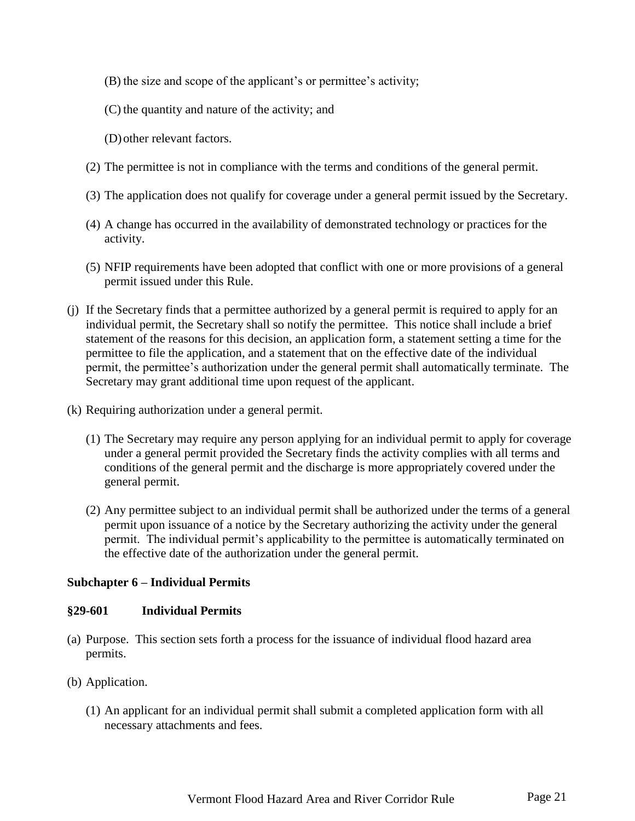- (B) the size and scope of the applicant's or permittee's activity;
- (C) the quantity and nature of the activity; and

(D)other relevant factors.

- (2) The permittee is not in compliance with the terms and conditions of the general permit.
- (3) The application does not qualify for coverage under a general permit issued by the Secretary.
- (4) A change has occurred in the availability of demonstrated technology or practices for the activity.
- (5) NFIP requirements have been adopted that conflict with one or more provisions of a general permit issued under this Rule.
- (j) If the Secretary finds that a permittee authorized by a general permit is required to apply for an individual permit, the Secretary shall so notify the permittee. This notice shall include a brief statement of the reasons for this decision, an application form, a statement setting a time for the permittee to file the application, and a statement that on the effective date of the individual permit, the permittee's authorization under the general permit shall automatically terminate. The Secretary may grant additional time upon request of the applicant.
- (k) Requiring authorization under a general permit.
	- (1) The Secretary may require any person applying for an individual permit to apply for coverage under a general permit provided the Secretary finds the activity complies with all terms and conditions of the general permit and the discharge is more appropriately covered under the general permit.
	- (2) Any permittee subject to an individual permit shall be authorized under the terms of a general permit upon issuance of a notice by the Secretary authorizing the activity under the general permit. The individual permit's applicability to the permittee is automatically terminated on the effective date of the authorization under the general permit.

#### **Subchapter 6 – Individual Permits**

#### <span id="page-20-0"></span>**§29-601 Individual Permits**

- (a) Purpose. This section sets forth a process for the issuance of individual flood hazard area permits.
- (b) Application.
	- (1) An applicant for an individual permit shall submit a completed application form with all necessary attachments and fees.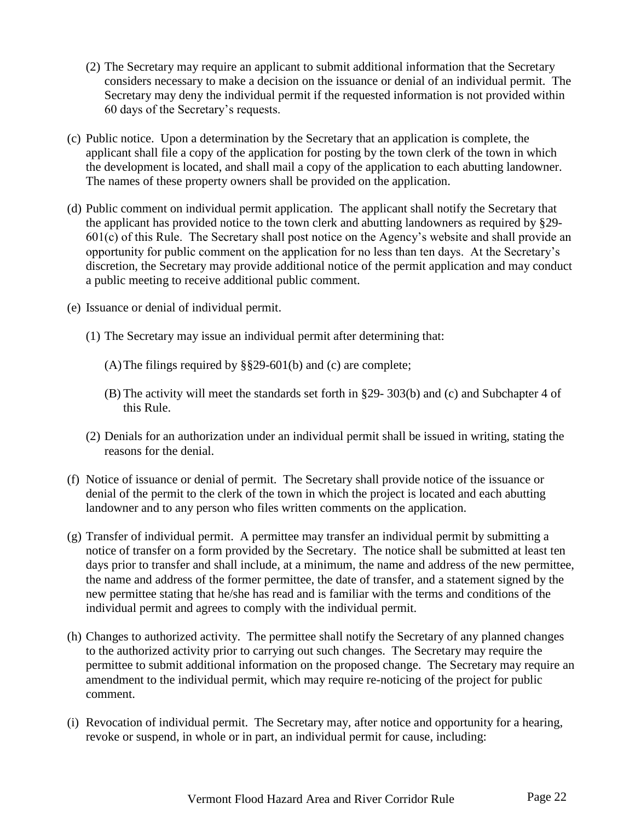- (2) The Secretary may require an applicant to submit additional information that the Secretary considers necessary to make a decision on the issuance or denial of an individual permit. The Secretary may deny the individual permit if the requested information is not provided within 60 days of the Secretary's requests.
- (c) Public notice. Upon a determination by the Secretary that an application is complete, the applicant shall file a copy of the application for posting by the town clerk of the town in which the development is located, and shall mail a copy of the application to each abutting landowner. The names of these property owners shall be provided on the application.
- (d) Public comment on individual permit application. The applicant shall notify the Secretary that the applicant has provided notice to the town clerk and abutting landowners as required by §29- 601(c) of this Rule. The Secretary shall post notice on the Agency's website and shall provide an opportunity for public comment on the application for no less than ten days. At the Secretary's discretion, the Secretary may provide additional notice of the permit application and may conduct a public meeting to receive additional public comment.
- (e) Issuance or denial of individual permit.
	- (1) The Secretary may issue an individual permit after determining that:
		- (A)The filings required by §§29-601(b) and (c) are complete;
		- (B) The activity will meet the standards set forth in §29- 303(b) and (c) and Subchapter 4 of this Rule.
	- (2) Denials for an authorization under an individual permit shall be issued in writing, stating the reasons for the denial.
- (f) Notice of issuance or denial of permit. The Secretary shall provide notice of the issuance or denial of the permit to the clerk of the town in which the project is located and each abutting landowner and to any person who files written comments on the application.
- (g) Transfer of individual permit. A permittee may transfer an individual permit by submitting a notice of transfer on a form provided by the Secretary. The notice shall be submitted at least ten days prior to transfer and shall include, at a minimum, the name and address of the new permittee, the name and address of the former permittee, the date of transfer, and a statement signed by the new permittee stating that he/she has read and is familiar with the terms and conditions of the individual permit and agrees to comply with the individual permit.
- (h) Changes to authorized activity. The permittee shall notify the Secretary of any planned changes to the authorized activity prior to carrying out such changes. The Secretary may require the permittee to submit additional information on the proposed change. The Secretary may require an amendment to the individual permit, which may require re-noticing of the project for public comment.
- (i) Revocation of individual permit. The Secretary may, after notice and opportunity for a hearing, revoke or suspend, in whole or in part, an individual permit for cause, including: